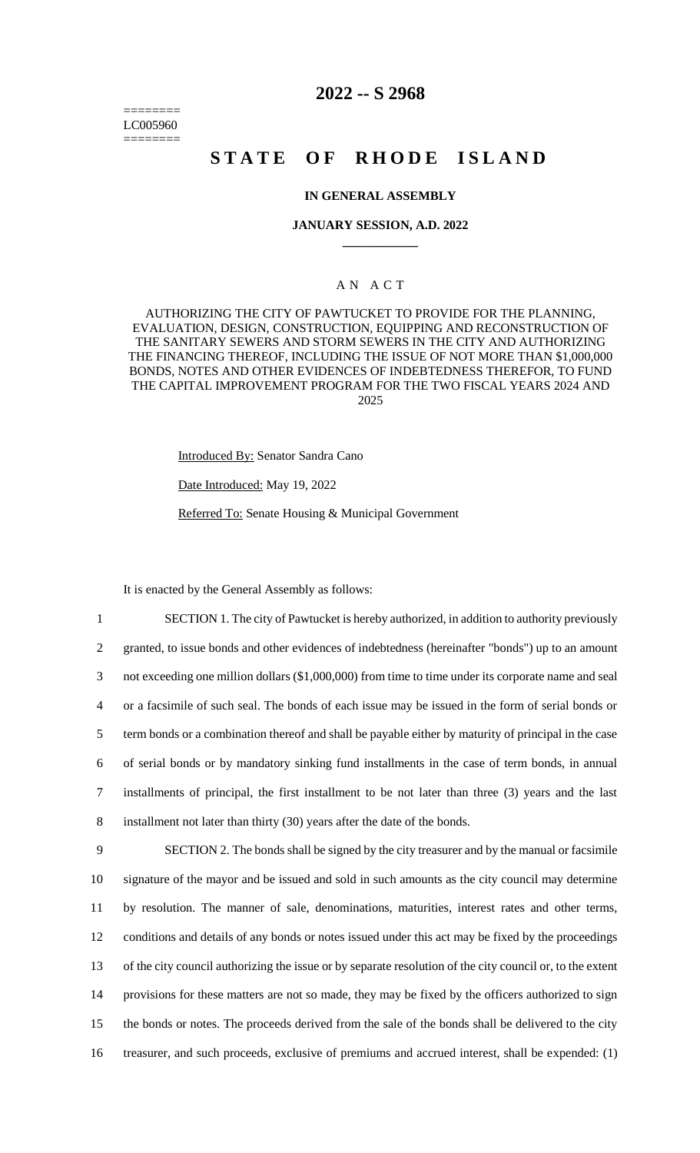======== LC005960 ========

# **2022 -- S 2968**

# **STATE OF RHODE ISLAND**

## **IN GENERAL ASSEMBLY**

#### **JANUARY SESSION, A.D. 2022 \_\_\_\_\_\_\_\_\_\_\_\_**

# A N A C T

AUTHORIZING THE CITY OF PAWTUCKET TO PROVIDE FOR THE PLANNING, EVALUATION, DESIGN, CONSTRUCTION, EQUIPPING AND RECONSTRUCTION OF THE SANITARY SEWERS AND STORM SEWERS IN THE CITY AND AUTHORIZING THE FINANCING THEREOF, INCLUDING THE ISSUE OF NOT MORE THAN \$1,000,000 BONDS, NOTES AND OTHER EVIDENCES OF INDEBTEDNESS THEREFOR, TO FUND THE CAPITAL IMPROVEMENT PROGRAM FOR THE TWO FISCAL YEARS 2024 AND 2025

Introduced By: Senator Sandra Cano

Date Introduced: May 19, 2022

Referred To: Senate Housing & Municipal Government

It is enacted by the General Assembly as follows:

 SECTION 1. The city of Pawtucket is hereby authorized, in addition to authority previously granted, to issue bonds and other evidences of indebtedness (hereinafter "bonds") up to an amount not exceeding one million dollars (\$1,000,000) from time to time under its corporate name and seal or a facsimile of such seal. The bonds of each issue may be issued in the form of serial bonds or term bonds or a combination thereof and shall be payable either by maturity of principal in the case of serial bonds or by mandatory sinking fund installments in the case of term bonds, in annual installments of principal, the first installment to be not later than three (3) years and the last installment not later than thirty (30) years after the date of the bonds.

 SECTION 2. The bonds shall be signed by the city treasurer and by the manual or facsimile signature of the mayor and be issued and sold in such amounts as the city council may determine by resolution. The manner of sale, denominations, maturities, interest rates and other terms, conditions and details of any bonds or notes issued under this act may be fixed by the proceedings of the city council authorizing the issue or by separate resolution of the city council or, to the extent provisions for these matters are not so made, they may be fixed by the officers authorized to sign the bonds or notes. The proceeds derived from the sale of the bonds shall be delivered to the city treasurer, and such proceeds, exclusive of premiums and accrued interest, shall be expended: (1)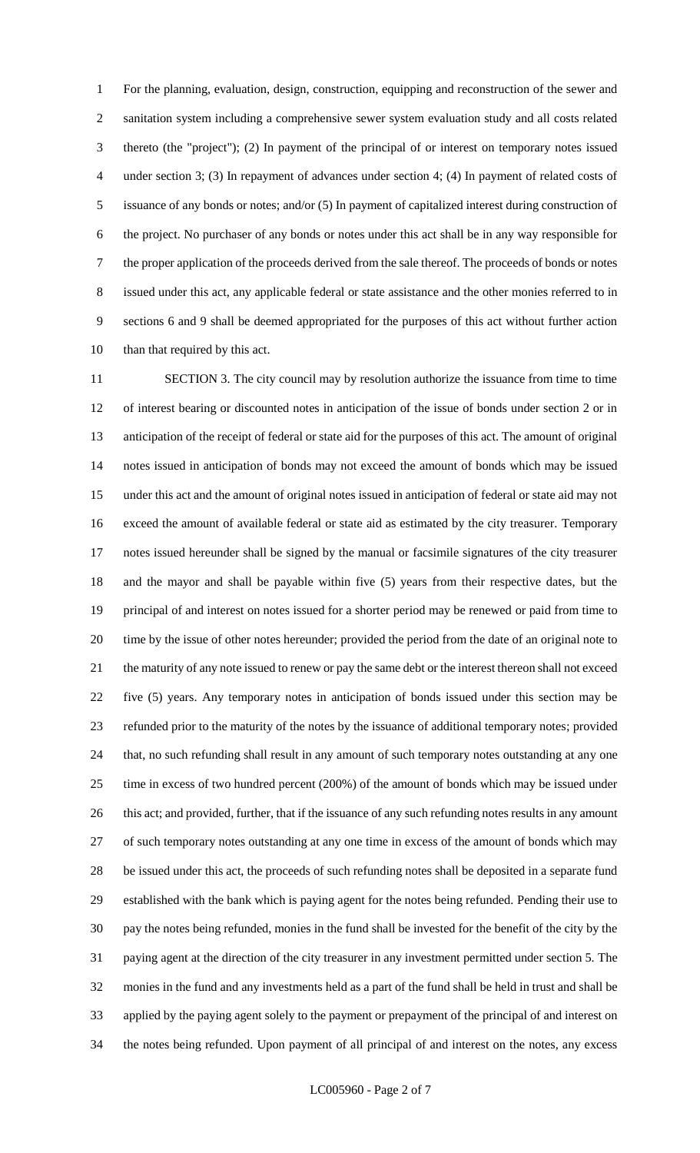For the planning, evaluation, design, construction, equipping and reconstruction of the sewer and sanitation system including a comprehensive sewer system evaluation study and all costs related thereto (the "project"); (2) In payment of the principal of or interest on temporary notes issued under section 3; (3) In repayment of advances under section 4; (4) In payment of related costs of issuance of any bonds or notes; and/or (5) In payment of capitalized interest during construction of the project. No purchaser of any bonds or notes under this act shall be in any way responsible for the proper application of the proceeds derived from the sale thereof. The proceeds of bonds or notes issued under this act, any applicable federal or state assistance and the other monies referred to in sections 6 and 9 shall be deemed appropriated for the purposes of this act without further action than that required by this act.

 SECTION 3. The city council may by resolution authorize the issuance from time to time of interest bearing or discounted notes in anticipation of the issue of bonds under section 2 or in anticipation of the receipt of federal or state aid for the purposes of this act. The amount of original notes issued in anticipation of bonds may not exceed the amount of bonds which may be issued under this act and the amount of original notes issued in anticipation of federal or state aid may not exceed the amount of available federal or state aid as estimated by the city treasurer. Temporary notes issued hereunder shall be signed by the manual or facsimile signatures of the city treasurer and the mayor and shall be payable within five (5) years from their respective dates, but the principal of and interest on notes issued for a shorter period may be renewed or paid from time to time by the issue of other notes hereunder; provided the period from the date of an original note to the maturity of any note issued to renew or pay the same debt or the interest thereon shall not exceed five (5) years. Any temporary notes in anticipation of bonds issued under this section may be refunded prior to the maturity of the notes by the issuance of additional temporary notes; provided that, no such refunding shall result in any amount of such temporary notes outstanding at any one time in excess of two hundred percent (200%) of the amount of bonds which may be issued under 26 this act; and provided, further, that if the issuance of any such refunding notes results in any amount of such temporary notes outstanding at any one time in excess of the amount of bonds which may be issued under this act, the proceeds of such refunding notes shall be deposited in a separate fund established with the bank which is paying agent for the notes being refunded. Pending their use to pay the notes being refunded, monies in the fund shall be invested for the benefit of the city by the paying agent at the direction of the city treasurer in any investment permitted under section 5. The monies in the fund and any investments held as a part of the fund shall be held in trust and shall be applied by the paying agent solely to the payment or prepayment of the principal of and interest on the notes being refunded. Upon payment of all principal of and interest on the notes, any excess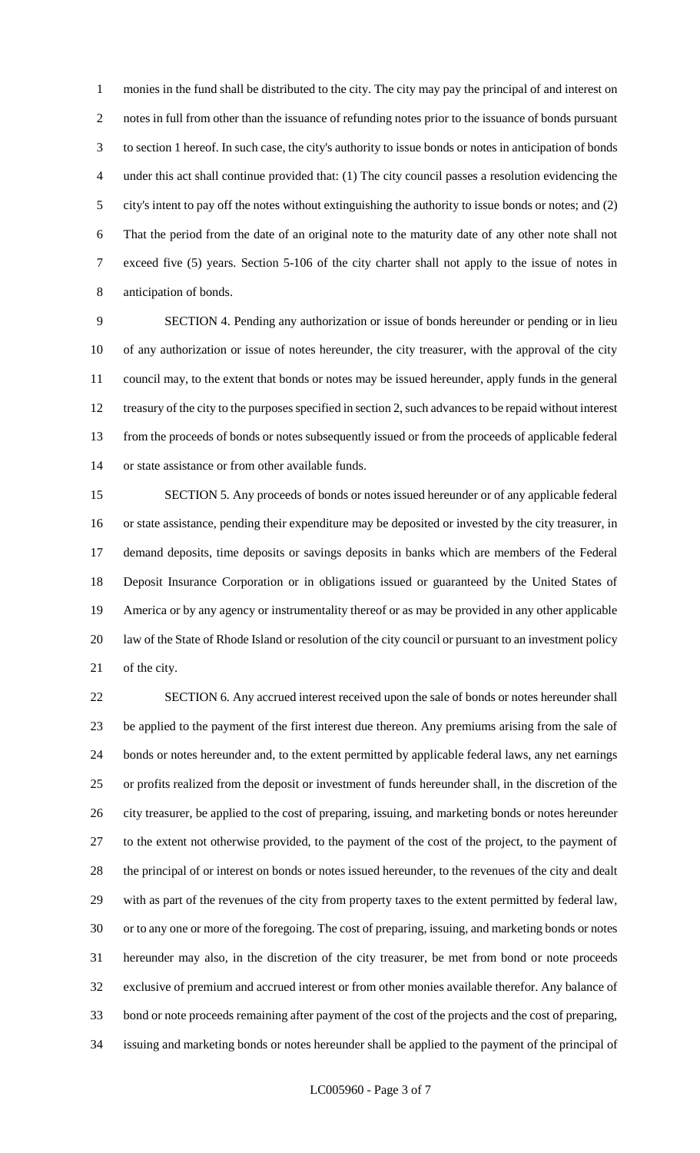monies in the fund shall be distributed to the city. The city may pay the principal of and interest on notes in full from other than the issuance of refunding notes prior to the issuance of bonds pursuant to section 1 hereof. In such case, the city's authority to issue bonds or notes in anticipation of bonds under this act shall continue provided that: (1) The city council passes a resolution evidencing the city's intent to pay off the notes without extinguishing the authority to issue bonds or notes; and (2) That the period from the date of an original note to the maturity date of any other note shall not exceed five (5) years. Section 5-106 of the city charter shall not apply to the issue of notes in anticipation of bonds.

 SECTION 4. Pending any authorization or issue of bonds hereunder or pending or in lieu of any authorization or issue of notes hereunder, the city treasurer, with the approval of the city council may, to the extent that bonds or notes may be issued hereunder, apply funds in the general treasury of the city to the purposes specified in section 2, such advances to be repaid without interest from the proceeds of bonds or notes subsequently issued or from the proceeds of applicable federal or state assistance or from other available funds.

 SECTION 5. Any proceeds of bonds or notes issued hereunder or of any applicable federal or state assistance, pending their expenditure may be deposited or invested by the city treasurer, in demand deposits, time deposits or savings deposits in banks which are members of the Federal Deposit Insurance Corporation or in obligations issued or guaranteed by the United States of America or by any agency or instrumentality thereof or as may be provided in any other applicable law of the State of Rhode Island or resolution of the city council or pursuant to an investment policy of the city.

 SECTION 6. Any accrued interest received upon the sale of bonds or notes hereunder shall be applied to the payment of the first interest due thereon. Any premiums arising from the sale of bonds or notes hereunder and, to the extent permitted by applicable federal laws, any net earnings or profits realized from the deposit or investment of funds hereunder shall, in the discretion of the city treasurer, be applied to the cost of preparing, issuing, and marketing bonds or notes hereunder to the extent not otherwise provided, to the payment of the cost of the project, to the payment of the principal of or interest on bonds or notes issued hereunder, to the revenues of the city and dealt with as part of the revenues of the city from property taxes to the extent permitted by federal law, or to any one or more of the foregoing. The cost of preparing, issuing, and marketing bonds or notes hereunder may also, in the discretion of the city treasurer, be met from bond or note proceeds exclusive of premium and accrued interest or from other monies available therefor. Any balance of bond or note proceeds remaining after payment of the cost of the projects and the cost of preparing, issuing and marketing bonds or notes hereunder shall be applied to the payment of the principal of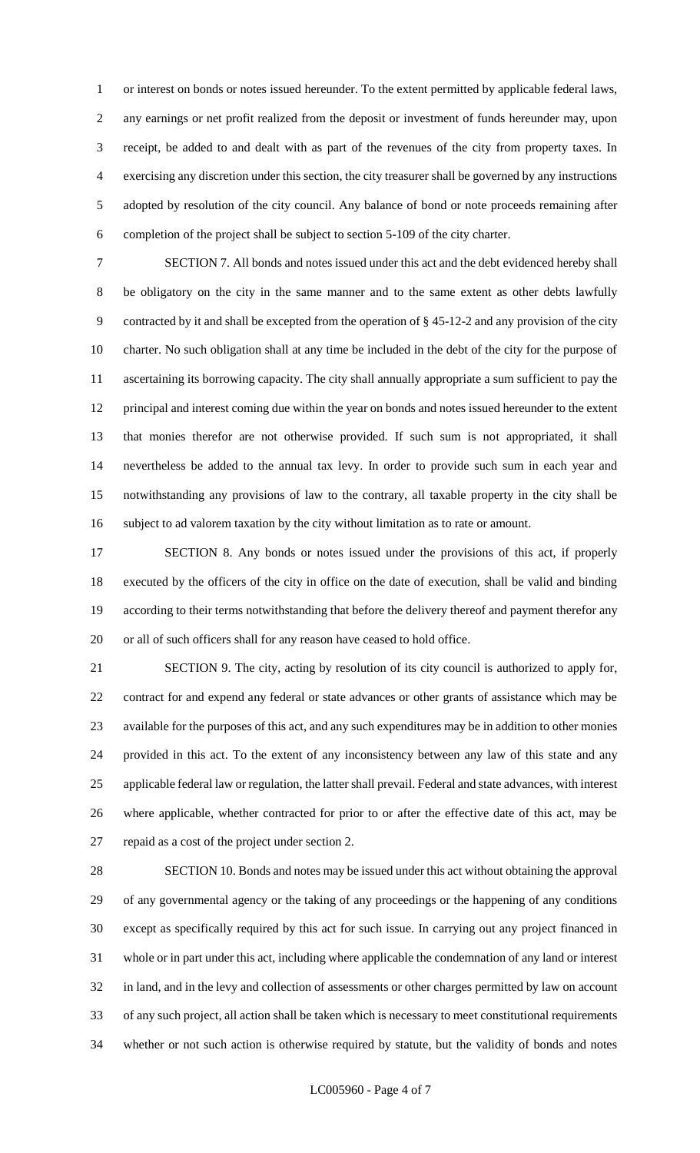or interest on bonds or notes issued hereunder. To the extent permitted by applicable federal laws, any earnings or net profit realized from the deposit or investment of funds hereunder may, upon receipt, be added to and dealt with as part of the revenues of the city from property taxes. In exercising any discretion under this section, the city treasurer shall be governed by any instructions adopted by resolution of the city council. Any balance of bond or note proceeds remaining after completion of the project shall be subject to section 5-109 of the city charter.

 SECTION 7. All bonds and notes issued under this act and the debt evidenced hereby shall be obligatory on the city in the same manner and to the same extent as other debts lawfully contracted by it and shall be excepted from the operation of § 45-12-2 and any provision of the city charter. No such obligation shall at any time be included in the debt of the city for the purpose of ascertaining its borrowing capacity. The city shall annually appropriate a sum sufficient to pay the principal and interest coming due within the year on bonds and notes issued hereunder to the extent that monies therefor are not otherwise provided. If such sum is not appropriated, it shall nevertheless be added to the annual tax levy. In order to provide such sum in each year and notwithstanding any provisions of law to the contrary, all taxable property in the city shall be subject to ad valorem taxation by the city without limitation as to rate or amount.

 SECTION 8. Any bonds or notes issued under the provisions of this act, if properly executed by the officers of the city in office on the date of execution, shall be valid and binding according to their terms notwithstanding that before the delivery thereof and payment therefor any or all of such officers shall for any reason have ceased to hold office.

 SECTION 9. The city, acting by resolution of its city council is authorized to apply for, contract for and expend any federal or state advances or other grants of assistance which may be available for the purposes of this act, and any such expenditures may be in addition to other monies provided in this act. To the extent of any inconsistency between any law of this state and any applicable federal law or regulation, the latter shall prevail. Federal and state advances, with interest where applicable, whether contracted for prior to or after the effective date of this act, may be repaid as a cost of the project under section 2.

 SECTION 10. Bonds and notes may be issued under this act without obtaining the approval of any governmental agency or the taking of any proceedings or the happening of any conditions except as specifically required by this act for such issue. In carrying out any project financed in whole or in part under this act, including where applicable the condemnation of any land or interest in land, and in the levy and collection of assessments or other charges permitted by law on account of any such project, all action shall be taken which is necessary to meet constitutional requirements whether or not such action is otherwise required by statute, but the validity of bonds and notes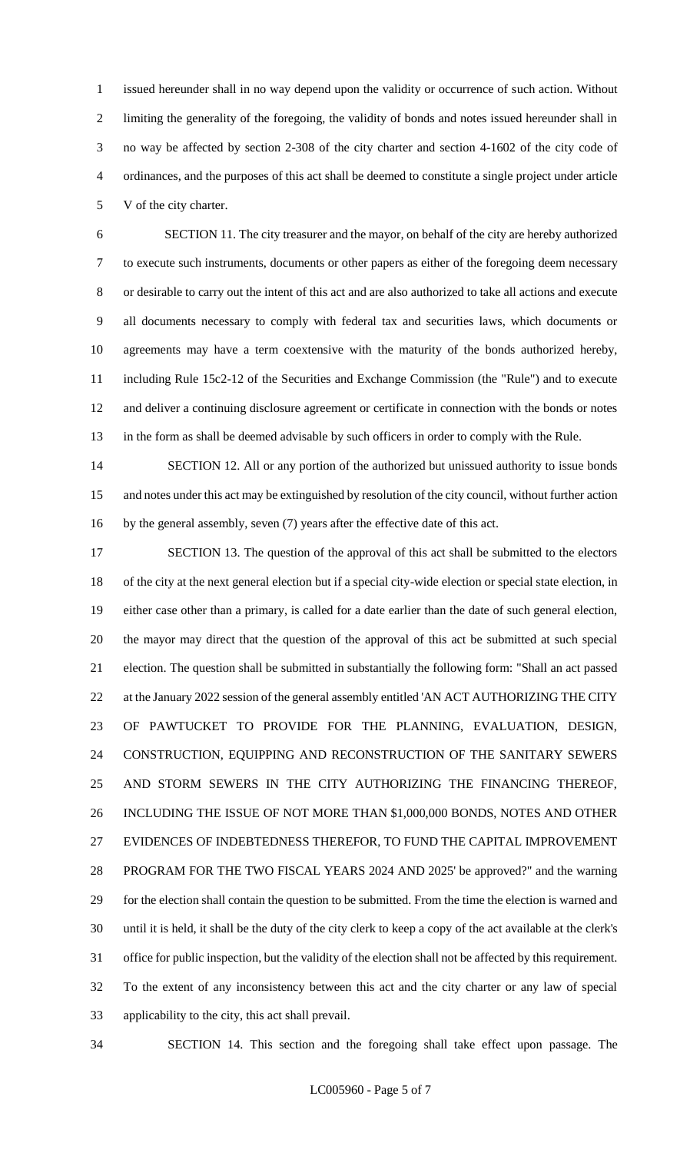issued hereunder shall in no way depend upon the validity or occurrence of such action. Without limiting the generality of the foregoing, the validity of bonds and notes issued hereunder shall in no way be affected by section 2-308 of the city charter and section 4-1602 of the city code of ordinances, and the purposes of this act shall be deemed to constitute a single project under article V of the city charter.

 SECTION 11. The city treasurer and the mayor, on behalf of the city are hereby authorized to execute such instruments, documents or other papers as either of the foregoing deem necessary or desirable to carry out the intent of this act and are also authorized to take all actions and execute all documents necessary to comply with federal tax and securities laws, which documents or agreements may have a term coextensive with the maturity of the bonds authorized hereby, including Rule 15c2-12 of the Securities and Exchange Commission (the "Rule") and to execute and deliver a continuing disclosure agreement or certificate in connection with the bonds or notes in the form as shall be deemed advisable by such officers in order to comply with the Rule.

14 SECTION 12. All or any portion of the authorized but unissued authority to issue bonds and notes under this act may be extinguished by resolution of the city council, without further action by the general assembly, seven (7) years after the effective date of this act.

 SECTION 13. The question of the approval of this act shall be submitted to the electors of the city at the next general election but if a special city-wide election or special state election, in either case other than a primary, is called for a date earlier than the date of such general election, the mayor may direct that the question of the approval of this act be submitted at such special election. The question shall be submitted in substantially the following form: "Shall an act passed 22 at the January 2022 session of the general assembly entitled 'AN ACT AUTHORIZING THE CITY OF PAWTUCKET TO PROVIDE FOR THE PLANNING, EVALUATION, DESIGN, CONSTRUCTION, EQUIPPING AND RECONSTRUCTION OF THE SANITARY SEWERS AND STORM SEWERS IN THE CITY AUTHORIZING THE FINANCING THEREOF, INCLUDING THE ISSUE OF NOT MORE THAN \$1,000,000 BONDS, NOTES AND OTHER EVIDENCES OF INDEBTEDNESS THEREFOR, TO FUND THE CAPITAL IMPROVEMENT PROGRAM FOR THE TWO FISCAL YEARS 2024 AND 2025' be approved?" and the warning for the election shall contain the question to be submitted. From the time the election is warned and until it is held, it shall be the duty of the city clerk to keep a copy of the act available at the clerk's office for public inspection, but the validity of the election shall not be affected by this requirement. To the extent of any inconsistency between this act and the city charter or any law of special applicability to the city, this act shall prevail.

SECTION 14. This section and the foregoing shall take effect upon passage. The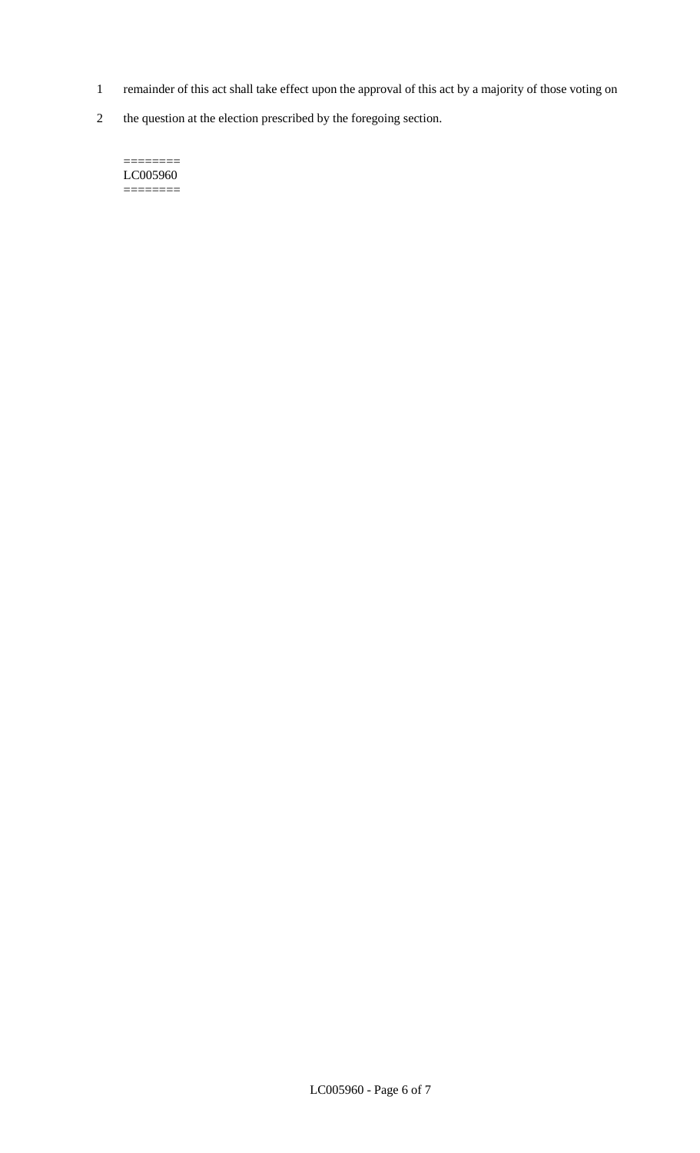- 1 remainder of this act shall take effect upon the approval of this act by a majority of those voting on
- 2 the question at the election prescribed by the foregoing section.

======== LC005960  $=$